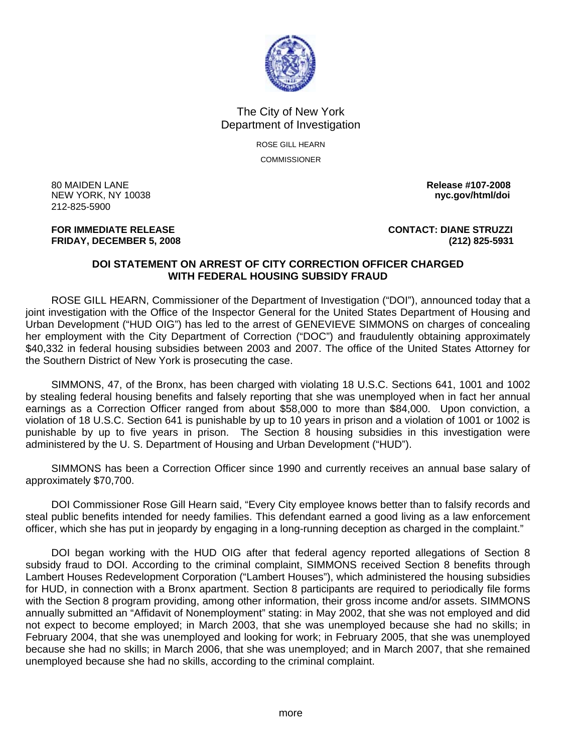

## The City of New York Department of Investigation

ROSE GILL HEARN **COMMISSIONER** 

80 MAIDEN LANE **Release #107-2008 NEW YORK, NY 10038** 212-825-5900

## **FRIDAY, DECEMBER 5, 2008 (212) 825-5931**

**FOR IMMEDIATE RELEASE CONTACT: DIANE STRUZZI** 

## **DOI STATEMENT ON ARREST OF CITY CORRECTION OFFICER CHARGED WITH FEDERAL HOUSING SUBSIDY FRAUD**

 ROSE GILL HEARN, Commissioner of the Department of Investigation ("DOI"), announced today that a joint investigation with the Office of the Inspector General for the United States Department of Housing and Urban Development ("HUD OIG") has led to the arrest of GENEVIEVE SIMMONS on charges of concealing her employment with the City Department of Correction ("DOC") and fraudulently obtaining approximately \$40,332 in federal housing subsidies between 2003 and 2007. The office of the United States Attorney for the Southern District of New York is prosecuting the case.

 SIMMONS, 47, of the Bronx, has been charged with violating 18 U.S.C. Sections 641, 1001 and 1002 by stealing federal housing benefits and falsely reporting that she was unemployed when in fact her annual earnings as a Correction Officer ranged from about \$58,000 to more than \$84,000. Upon conviction, a violation of 18 U.S.C. Section 641 is punishable by up to 10 years in prison and a violation of 1001 or 1002 is punishable by up to five years in prison. The Section 8 housing subsidies in this investigation were administered by the U. S. Department of Housing and Urban Development ("HUD").

 SIMMONS has been a Correction Officer since 1990 and currently receives an annual base salary of approximately \$70,700.

 DOI Commissioner Rose Gill Hearn said, "Every City employee knows better than to falsify records and steal public benefits intended for needy families. This defendant earned a good living as a law enforcement officer, which she has put in jeopardy by engaging in a long-running deception as charged in the complaint."

 DOI began working with the HUD OIG after that federal agency reported allegations of Section 8 subsidy fraud to DOI. According to the criminal complaint, SIMMONS received Section 8 benefits through Lambert Houses Redevelopment Corporation ("Lambert Houses"), which administered the housing subsidies for HUD, in connection with a Bronx apartment. Section 8 participants are required to periodically file forms with the Section 8 program providing, among other information, their gross income and/or assets. SIMMONS annually submitted an "Affidavit of Nonemployment" stating: in May 2002, that she was not employed and did not expect to become employed; in March 2003, that she was unemployed because she had no skills; in February 2004, that she was unemployed and looking for work; in February 2005, that she was unemployed because she had no skills; in March 2006, that she was unemployed; and in March 2007, that she remained unemployed because she had no skills, according to the criminal complaint.